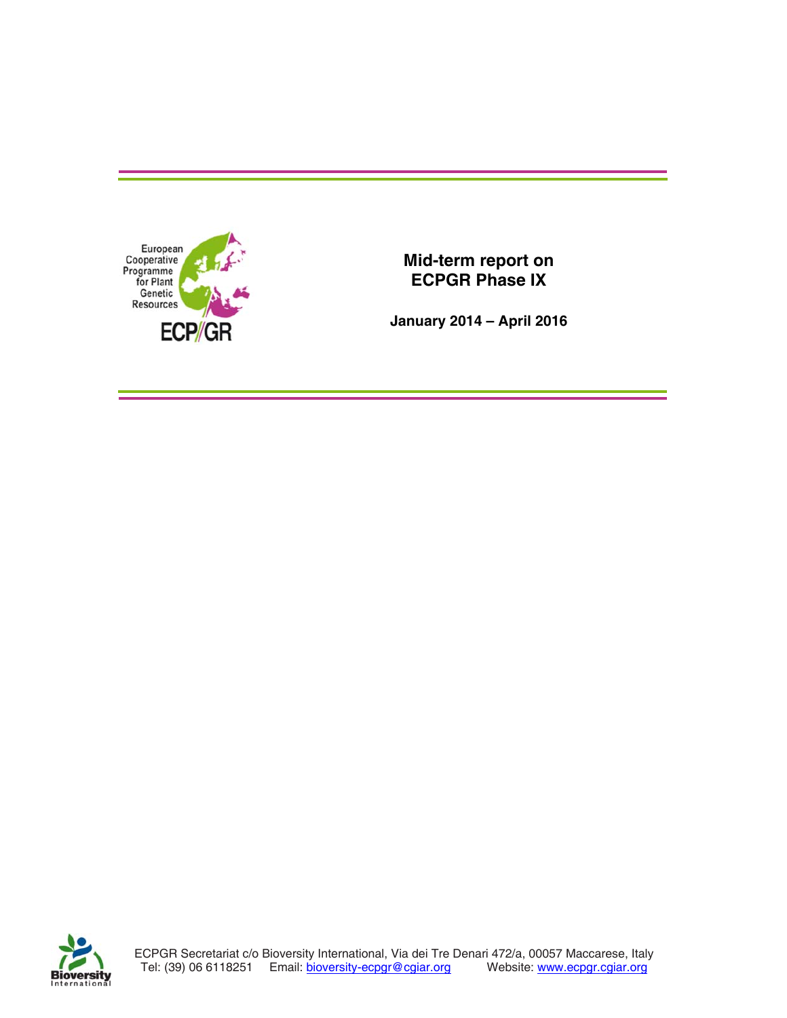

**January 2014 – April 2016** 

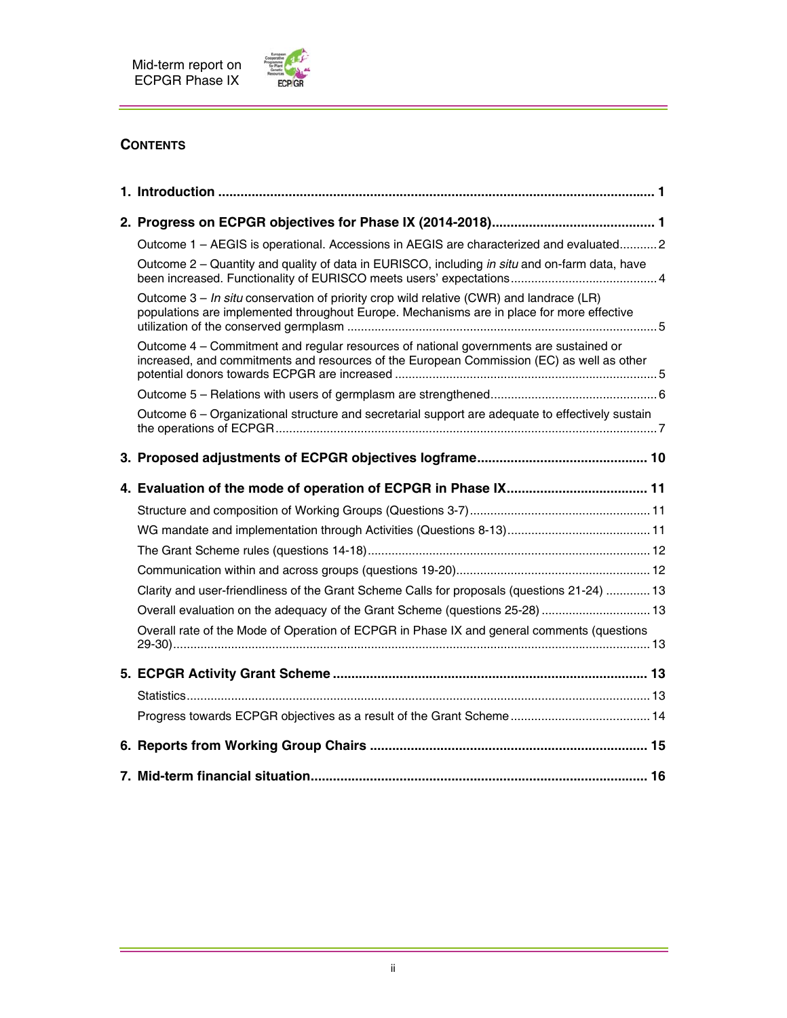

## **CONTENTS**

| Outcome 1 - AEGIS is operational. Accessions in AEGIS are characterized and evaluated2                                                                                                 |
|----------------------------------------------------------------------------------------------------------------------------------------------------------------------------------------|
| Outcome 2 – Quantity and quality of data in EURISCO, including in situ and on-farm data, have                                                                                          |
| Outcome $3 - In$ situ conservation of priority crop wild relative (CWR) and landrace (LR)<br>populations are implemented throughout Europe. Mechanisms are in place for more effective |
| Outcome 4 - Commitment and regular resources of national governments are sustained or<br>increased, and commitments and resources of the European Commission (EC) as well as other     |
|                                                                                                                                                                                        |
| Outcome 6 - Organizational structure and secretarial support are adequate to effectively sustain                                                                                       |
|                                                                                                                                                                                        |
|                                                                                                                                                                                        |
|                                                                                                                                                                                        |
|                                                                                                                                                                                        |
|                                                                                                                                                                                        |
|                                                                                                                                                                                        |
| Clarity and user-friendliness of the Grant Scheme Calls for proposals (questions 21-24)  13                                                                                            |
| Overall evaluation on the adequacy of the Grant Scheme (questions 25-28)  13                                                                                                           |
| Overall rate of the Mode of Operation of ECPGR in Phase IX and general comments (questions                                                                                             |
|                                                                                                                                                                                        |
|                                                                                                                                                                                        |
|                                                                                                                                                                                        |
|                                                                                                                                                                                        |
|                                                                                                                                                                                        |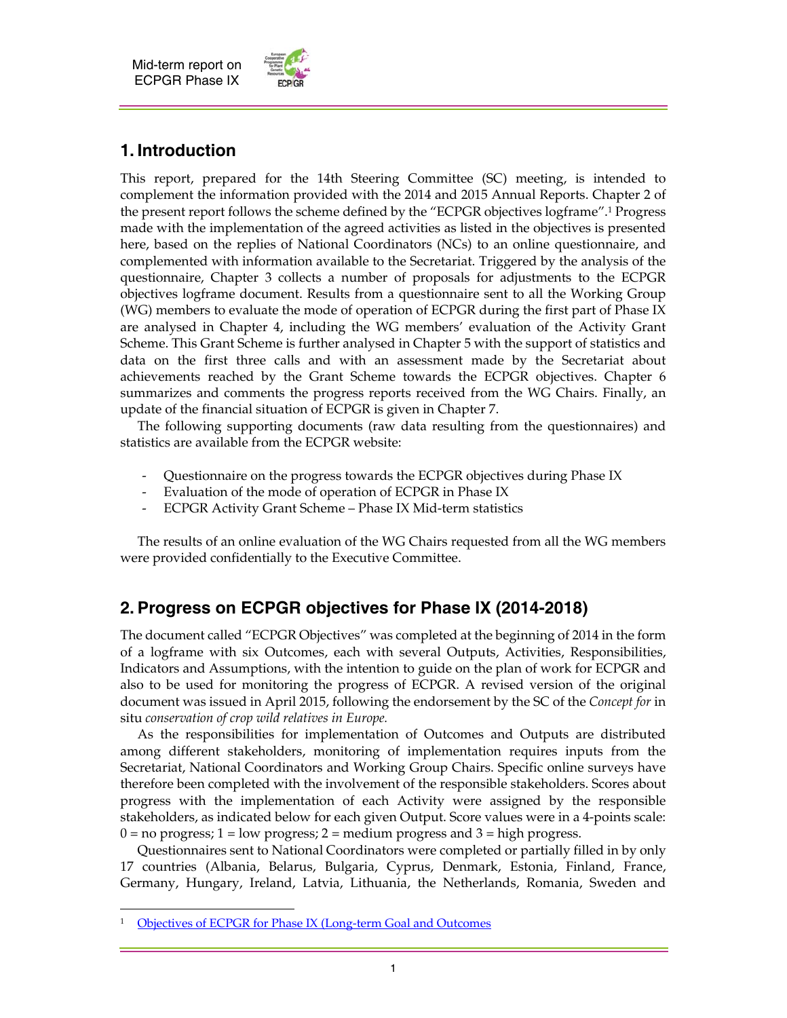

# **1. Introduction**

This report, prepared for the 14th Steering Committee (SC) meeting, is intended to complement the information provided with the 2014 and 2015 Annual Reports. Chapter 2 of the present report follows the scheme defined by the "ECPGR objectives logframe".1 Progress made with the implementation of the agreed activities as listed in the objectives is presented here, based on the replies of National Coordinators (NCs) to an online questionnaire, and complemented with information available to the Secretariat. Triggered by the analysis of the questionnaire, Chapter 3 collects a number of proposals for adjustments to the ECPGR objectives logframe document. Results from a questionnaire sent to all the Working Group (WG) members to evaluate the mode of operation of ECPGR during the first part of Phase IX are analysed in Chapter 4, including the WG members' evaluation of the Activity Grant Scheme. This Grant Scheme is further analysed in Chapter 5 with the support of statistics and data on the first three calls and with an assessment made by the Secretariat about achievements reached by the Grant Scheme towards the ECPGR objectives. Chapter 6 summarizes and comments the progress reports received from the WG Chairs. Finally, an update of the financial situation of ECPGR is given in Chapter 7.

 The following supporting documents (raw data resulting from the questionnaires) and statistics are available from the ECPGR website:

- Questionnaire on the progress towards the ECPGR objectives during Phase IX
- Evaluation of the mode of operation of ECPGR in Phase IX
- ECPGR Activity Grant Scheme Phase IX Mid-term statistics

 The results of an online evaluation of the WG Chairs requested from all the WG members were provided confidentially to the Executive Committee.

## **2. Progress on ECPGR objectives for Phase IX (2014-2018)**

The document called "ECPGR Objectives" was completed at the beginning of 2014 in the form of a logframe with six Outcomes, each with several Outputs, Activities, Responsibilities, Indicators and Assumptions, with the intention to guide on the plan of work for ECPGR and also to be used for monitoring the progress of ECPGR. A revised version of the original document was issued in April 2015, following the endorsement by the SC of the *Concept for* in situ *conservation of crop wild relatives in Europe.*

 As the responsibilities for implementation of Outcomes and Outputs are distributed among different stakeholders, monitoring of implementation requires inputs from the Secretariat, National Coordinators and Working Group Chairs. Specific online surveys have therefore been completed with the involvement of the responsible stakeholders. Scores about progress with the implementation of each Activity were assigned by the responsible stakeholders, as indicated below for each given Output. Score values were in a 4-points scale:  $0 =$  no progress;  $1 =$  low progress;  $2 =$  medium progress and  $3 =$  high progress.

 Questionnaires sent to National Coordinators were completed or partially filled in by only 17 countries (Albania, Belarus, Bulgaria, Cyprus, Denmark, Estonia, Finland, France, Germany, Hungary, Ireland, Latvia, Lithuania, the Netherlands, Romania, Sweden and

 $\overline{a}$ 

<sup>&</sup>lt;sup>1</sup> Objectives of ECPGR for Phase IX (Long-term Goal and Outcomes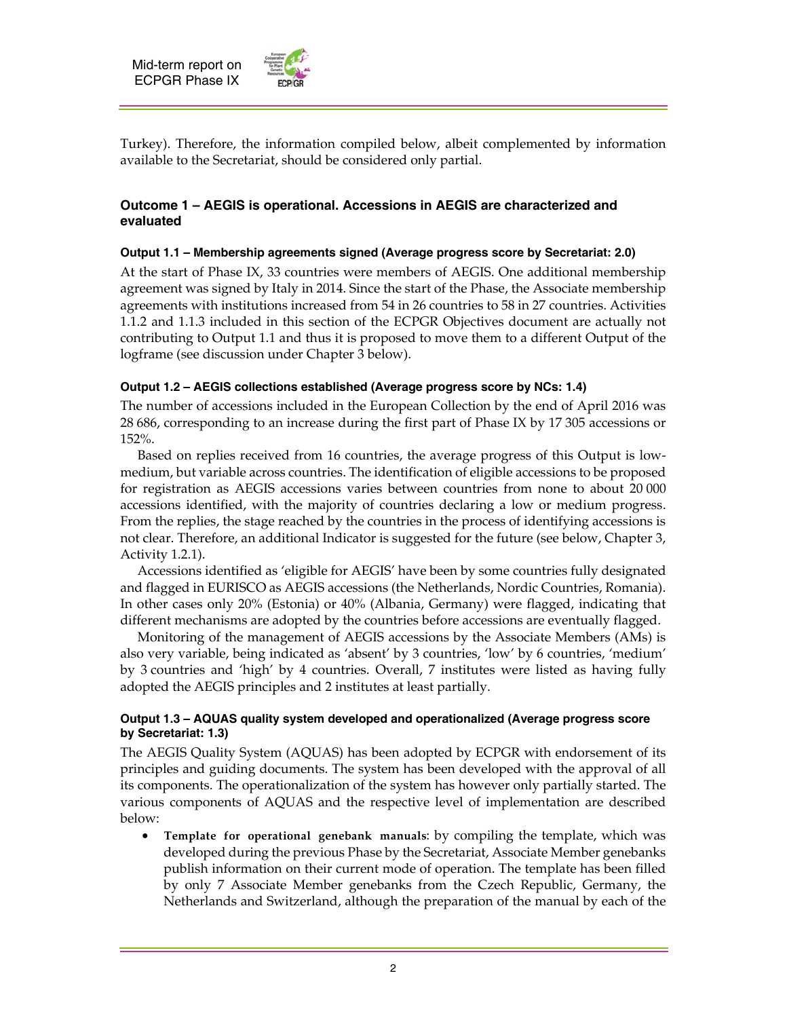

Turkey). Therefore, the information compiled below, albeit complemented by information available to the Secretariat, should be considered only partial.

## **Outcome 1 – AEGIS is operational. Accessions in AEGIS are characterized and evaluated**

## **Output 1.1 – Membership agreements signed (Average progress score by Secretariat: 2.0)**

At the start of Phase IX, 33 countries were members of AEGIS. One additional membership agreement was signed by Italy in 2014. Since the start of the Phase, the Associate membership agreements with institutions increased from 54 in 26 countries to 58 in 27 countries. Activities 1.1.2 and 1.1.3 included in this section of the ECPGR Objectives document are actually not contributing to Output 1.1 and thus it is proposed to move them to a different Output of the logframe (see discussion under Chapter 3 below).

#### **Output 1.2 – AEGIS collections established (Average progress score by NCs: 1.4)**

The number of accessions included in the European Collection by the end of April 2016 was 28 686, corresponding to an increase during the first part of Phase IX by 17 305 accessions or 152%.

 Based on replies received from 16 countries, the average progress of this Output is lowmedium, but variable across countries. The identification of eligible accessions to be proposed for registration as AEGIS accessions varies between countries from none to about 20 000 accessions identified, with the majority of countries declaring a low or medium progress. From the replies, the stage reached by the countries in the process of identifying accessions is not clear. Therefore, an additional Indicator is suggested for the future (see below, Chapter 3, Activity 1.2.1).

 Accessions identified as 'eligible for AEGIS' have been by some countries fully designated and flagged in EURISCO as AEGIS accessions (the Netherlands, Nordic Countries, Romania). In other cases only 20% (Estonia) or 40% (Albania, Germany) were flagged, indicating that different mechanisms are adopted by the countries before accessions are eventually flagged.

 Monitoring of the management of AEGIS accessions by the Associate Members (AMs) is also very variable, being indicated as 'absent' by 3 countries, 'low' by 6 countries, 'medium' by 3 countries and 'high' by 4 countries. Overall, 7 institutes were listed as having fully adopted the AEGIS principles and 2 institutes at least partially.

## **Output 1.3 – AQUAS quality system developed and operationalized (Average progress score by Secretariat: 1.3)**

The AEGIS Quality System (AQUAS) has been adopted by ECPGR with endorsement of its principles and guiding documents. The system has been developed with the approval of all its components. The operationalization of the system has however only partially started. The various components of AQUAS and the respective level of implementation are described below:

 **Template for operational genebank manuals**: by compiling the template, which was developed during the previous Phase by the Secretariat, Associate Member genebanks publish information on their current mode of operation. The template has been filled by only 7 Associate Member genebanks from the Czech Republic, Germany, the Netherlands and Switzerland, although the preparation of the manual by each of the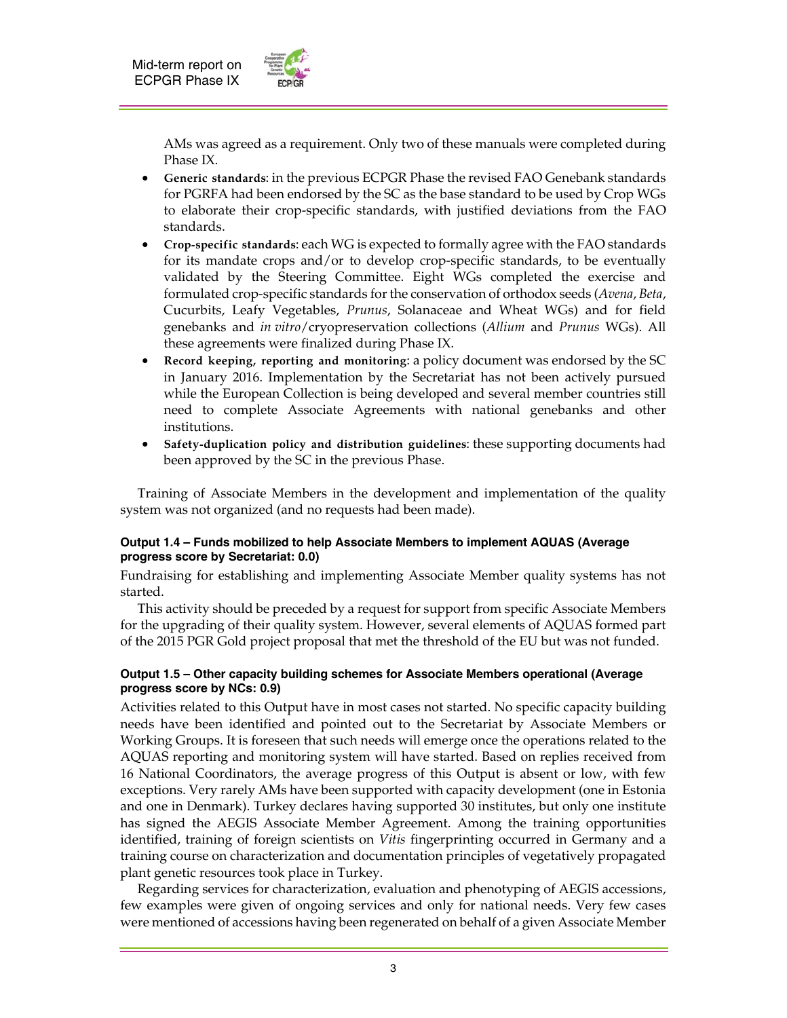

AMs was agreed as a requirement. Only two of these manuals were completed during Phase IX.

- **Generic standards**: in the previous ECPGR Phase the revised FAO Genebank standards for PGRFA had been endorsed by the SC as the base standard to be used by Crop WGs to elaborate their crop-specific standards, with justified deviations from the FAO standards.
- **Crop-specific standards**: each WG is expected to formally agree with the FAO standards for its mandate crops and/or to develop crop-specific standards, to be eventually validated by the Steering Committee. Eight WGs completed the exercise and formulated crop-specific standards for the conservation of orthodox seeds (*Avena*, *Beta*, Cucurbits, Leafy Vegetables, *Prunus*, Solanaceae and Wheat WGs) and for field genebanks and *in vitro*/cryopreservation collections (*Allium* and *Prunus* WGs). All these agreements were finalized during Phase IX.
- **Record keeping, reporting and monitoring**: a policy document was endorsed by the SC in January 2016. Implementation by the Secretariat has not been actively pursued while the European Collection is being developed and several member countries still need to complete Associate Agreements with national genebanks and other institutions.
- **Safety-duplication policy and distribution guidelines**: these supporting documents had been approved by the SC in the previous Phase.

 Training of Associate Members in the development and implementation of the quality system was not organized (and no requests had been made).

#### **Output 1.4 – Funds mobilized to help Associate Members to implement AQUAS (Average progress score by Secretariat: 0.0)**

Fundraising for establishing and implementing Associate Member quality systems has not started.

 This activity should be preceded by a request for support from specific Associate Members for the upgrading of their quality system. However, several elements of AQUAS formed part of the 2015 PGR Gold project proposal that met the threshold of the EU but was not funded.

#### **Output 1.5 – Other capacity building schemes for Associate Members operational (Average progress score by NCs: 0.9)**

Activities related to this Output have in most cases not started. No specific capacity building needs have been identified and pointed out to the Secretariat by Associate Members or Working Groups. It is foreseen that such needs will emerge once the operations related to the AQUAS reporting and monitoring system will have started. Based on replies received from 16 National Coordinators, the average progress of this Output is absent or low, with few exceptions. Very rarely AMs have been supported with capacity development (one in Estonia and one in Denmark). Turkey declares having supported 30 institutes, but only one institute has signed the AEGIS Associate Member Agreement. Among the training opportunities identified, training of foreign scientists on *Vitis* fingerprinting occurred in Germany and a training course on characterization and documentation principles of vegetatively propagated plant genetic resources took place in Turkey.

 Regarding services for characterization, evaluation and phenotyping of AEGIS accessions, few examples were given of ongoing services and only for national needs. Very few cases were mentioned of accessions having been regenerated on behalf of a given Associate Member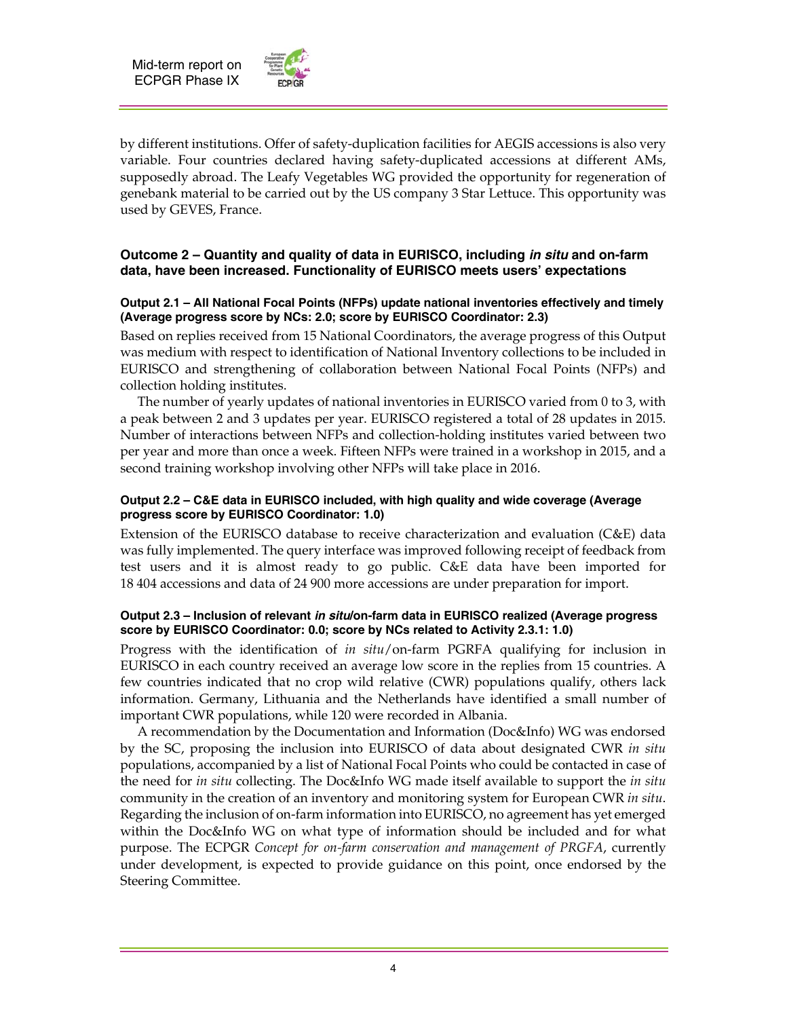

by different institutions. Offer of safety-duplication facilities for AEGIS accessions is also very variable. Four countries declared having safety-duplicated accessions at different AMs, supposedly abroad. The Leafy Vegetables WG provided the opportunity for regeneration of genebank material to be carried out by the US company 3 Star Lettuce. This opportunity was used by GEVES, France.

## **Outcome 2 – Quantity and quality of data in EURISCO, including** *in situ* **and on-farm data, have been increased. Functionality of EURISCO meets users' expectations**

### **Output 2.1 – All National Focal Points (NFPs) update national inventories effectively and timely (Average progress score by NCs: 2.0; score by EURISCO Coordinator: 2.3)**

Based on replies received from 15 National Coordinators, the average progress of this Output was medium with respect to identification of National Inventory collections to be included in EURISCO and strengthening of collaboration between National Focal Points (NFPs) and collection holding institutes.

 The number of yearly updates of national inventories in EURISCO varied from 0 to 3, with a peak between 2 and 3 updates per year. EURISCO registered a total of 28 updates in 2015. Number of interactions between NFPs and collection-holding institutes varied between two per year and more than once a week. Fifteen NFPs were trained in a workshop in 2015, and a second training workshop involving other NFPs will take place in 2016.

#### **Output 2.2 – C&E data in EURISCO included, with high quality and wide coverage (Average progress score by EURISCO Coordinator: 1.0)**

Extension of the EURISCO database to receive characterization and evaluation (C&E) data was fully implemented. The query interface was improved following receipt of feedback from test users and it is almost ready to go public. C&E data have been imported for 18 404 accessions and data of 24 900 more accessions are under preparation for import.

#### **Output 2.3 – Inclusion of relevant** *in situ***/on-farm data in EURISCO realized (Average progress score by EURISCO Coordinator: 0.0; score by NCs related to Activity 2.3.1: 1.0)**

Progress with the identification of *in situ*/on-farm PGRFA qualifying for inclusion in EURISCO in each country received an average low score in the replies from 15 countries. A few countries indicated that no crop wild relative (CWR) populations qualify, others lack information. Germany, Lithuania and the Netherlands have identified a small number of important CWR populations, while 120 were recorded in Albania.

 A recommendation by the Documentation and Information (Doc&Info) WG was endorsed by the SC, proposing the inclusion into EURISCO of data about designated CWR *in situ* populations, accompanied by a list of National Focal Points who could be contacted in case of the need for *in situ* collecting. The Doc&Info WG made itself available to support the *in situ* community in the creation of an inventory and monitoring system for European CWR *in situ*. Regarding the inclusion of on-farm information into EURISCO, no agreement has yet emerged within the Doc&Info WG on what type of information should be included and for what purpose. The ECPGR *Concept for on-farm conservation and management of PRGFA*, currently under development, is expected to provide guidance on this point, once endorsed by the Steering Committee.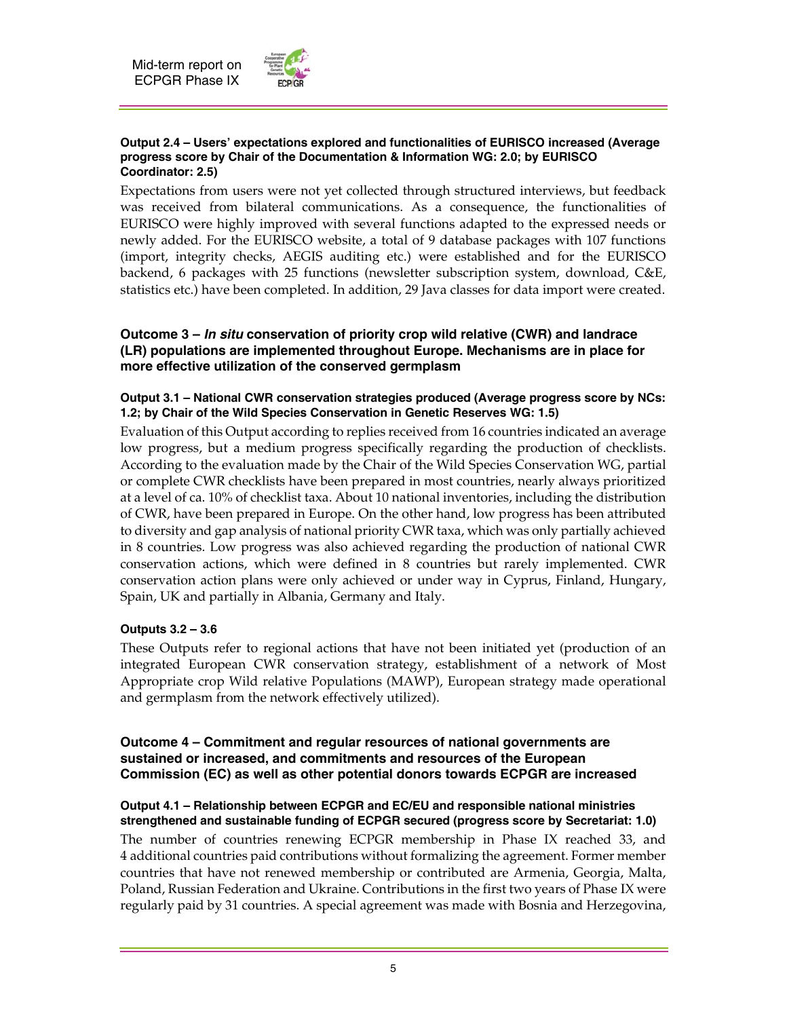

#### **Output 2.4 – Users' expectations explored and functionalities of EURISCO increased (Average progress score by Chair of the Documentation & Information WG: 2.0; by EURISCO Coordinator: 2.5)**

Expectations from users were not yet collected through structured interviews, but feedback was received from bilateral communications. As a consequence, the functionalities of EURISCO were highly improved with several functions adapted to the expressed needs or newly added. For the EURISCO website, a total of 9 database packages with 107 functions (import, integrity checks, AEGIS auditing etc.) were established and for the EURISCO backend, 6 packages with 25 functions (newsletter subscription system, download, C&E, statistics etc.) have been completed. In addition, 29 Java classes for data import were created.

## **Outcome 3 –** *In situ* **conservation of priority crop wild relative (CWR) and landrace (LR) populations are implemented throughout Europe. Mechanisms are in place for more effective utilization of the conserved germplasm**

## **Output 3.1 – National CWR conservation strategies produced (Average progress score by NCs: 1.2; by Chair of the Wild Species Conservation in Genetic Reserves WG: 1.5)**

Evaluation of this Output according to replies received from 16 countries indicated an average low progress, but a medium progress specifically regarding the production of checklists. According to the evaluation made by the Chair of the Wild Species Conservation WG, partial or complete CWR checklists have been prepared in most countries, nearly always prioritized at a level of ca. 10% of checklist taxa. About 10 national inventories, including the distribution of CWR, have been prepared in Europe. On the other hand, low progress has been attributed to diversity and gap analysis of national priority CWR taxa, which was only partially achieved in 8 countries. Low progress was also achieved regarding the production of national CWR conservation actions, which were defined in 8 countries but rarely implemented. CWR conservation action plans were only achieved or under way in Cyprus, Finland, Hungary, Spain, UK and partially in Albania, Germany and Italy.

## **Outputs 3.2 – 3.6**

These Outputs refer to regional actions that have not been initiated yet (production of an integrated European CWR conservation strategy, establishment of a network of Most Appropriate crop Wild relative Populations (MAWP), European strategy made operational and germplasm from the network effectively utilized).

## **Outcome 4 – Commitment and regular resources of national governments are sustained or increased, and commitments and resources of the European Commission (EC) as well as other potential donors towards ECPGR are increased**

## **Output 4.1 – Relationship between ECPGR and EC/EU and responsible national ministries strengthened and sustainable funding of ECPGR secured (progress score by Secretariat: 1.0)**

The number of countries renewing ECPGR membership in Phase IX reached 33, and 4 additional countries paid contributions without formalizing the agreement. Former member countries that have not renewed membership or contributed are Armenia, Georgia, Malta, Poland, Russian Federation and Ukraine. Contributions in the first two years of Phase IX were regularly paid by 31 countries. A special agreement was made with Bosnia and Herzegovina,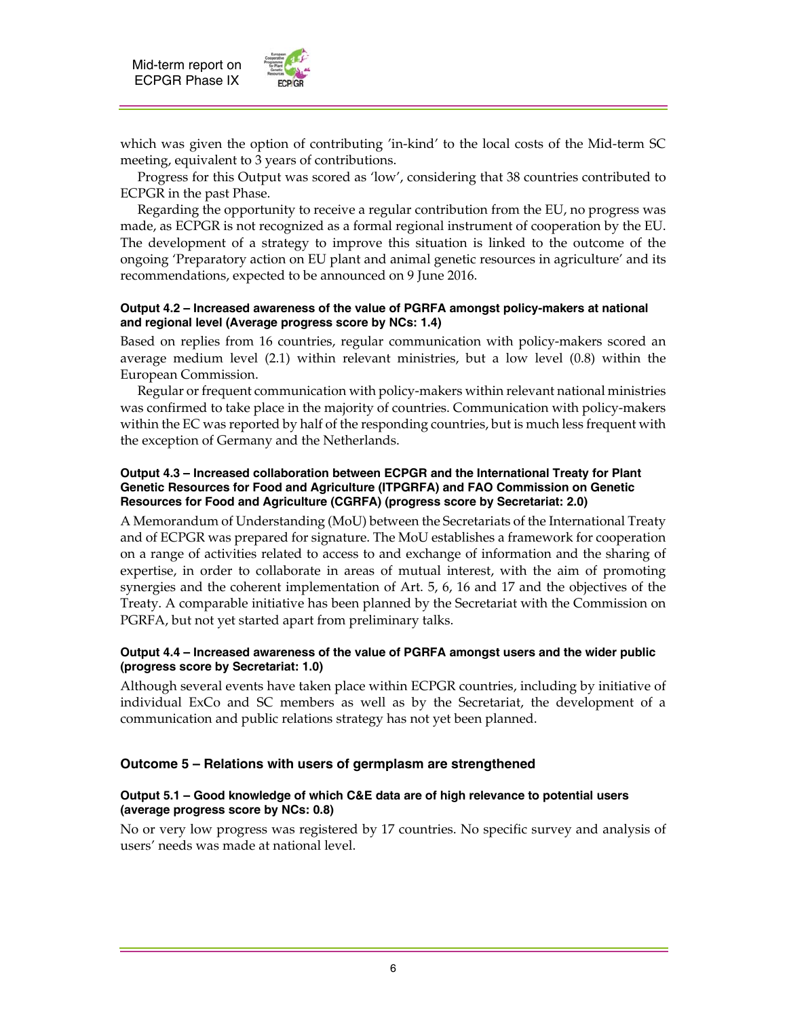

which was given the option of contributing 'in-kind' to the local costs of the Mid-term SC meeting, equivalent to 3 years of contributions.

 Progress for this Output was scored as 'low', considering that 38 countries contributed to ECPGR in the past Phase.

 Regarding the opportunity to receive a regular contribution from the EU, no progress was made, as ECPGR is not recognized as a formal regional instrument of cooperation by the EU. The development of a strategy to improve this situation is linked to the outcome of the ongoing 'Preparatory action on EU plant and animal genetic resources in agriculture' and its recommendations, expected to be announced on 9 June 2016.

#### **Output 4.2 – Increased awareness of the value of PGRFA amongst policy-makers at national and regional level (Average progress score by NCs: 1.4)**

Based on replies from 16 countries, regular communication with policy-makers scored an average medium level (2.1) within relevant ministries, but a low level (0.8) within the European Commission.

 Regular or frequent communication with policy-makers within relevant national ministries was confirmed to take place in the majority of countries. Communication with policy-makers within the EC was reported by half of the responding countries, but is much less frequent with the exception of Germany and the Netherlands.

#### **Output 4.3 – Increased collaboration between ECPGR and the International Treaty for Plant Genetic Resources for Food and Agriculture (ITPGRFA) and FAO Commission on Genetic Resources for Food and Agriculture (CGRFA) (progress score by Secretariat: 2.0)**

A Memorandum of Understanding (MoU) between the Secretariats of the International Treaty and of ECPGR was prepared for signature. The MoU establishes a framework for cooperation on a range of activities related to access to and exchange of information and the sharing of expertise, in order to collaborate in areas of mutual interest, with the aim of promoting synergies and the coherent implementation of Art. 5, 6, 16 and 17 and the objectives of the Treaty. A comparable initiative has been planned by the Secretariat with the Commission on PGRFA, but not yet started apart from preliminary talks.

#### **Output 4.4 – Increased awareness of the value of PGRFA amongst users and the wider public (progress score by Secretariat: 1.0)**

Although several events have taken place within ECPGR countries, including by initiative of individual ExCo and SC members as well as by the Secretariat, the development of a communication and public relations strategy has not yet been planned.

## **Outcome 5 – Relations with users of germplasm are strengthened**

#### **Output 5.1 – Good knowledge of which C&E data are of high relevance to potential users (average progress score by NCs: 0.8)**

No or very low progress was registered by 17 countries. No specific survey and analysis of users' needs was made at national level.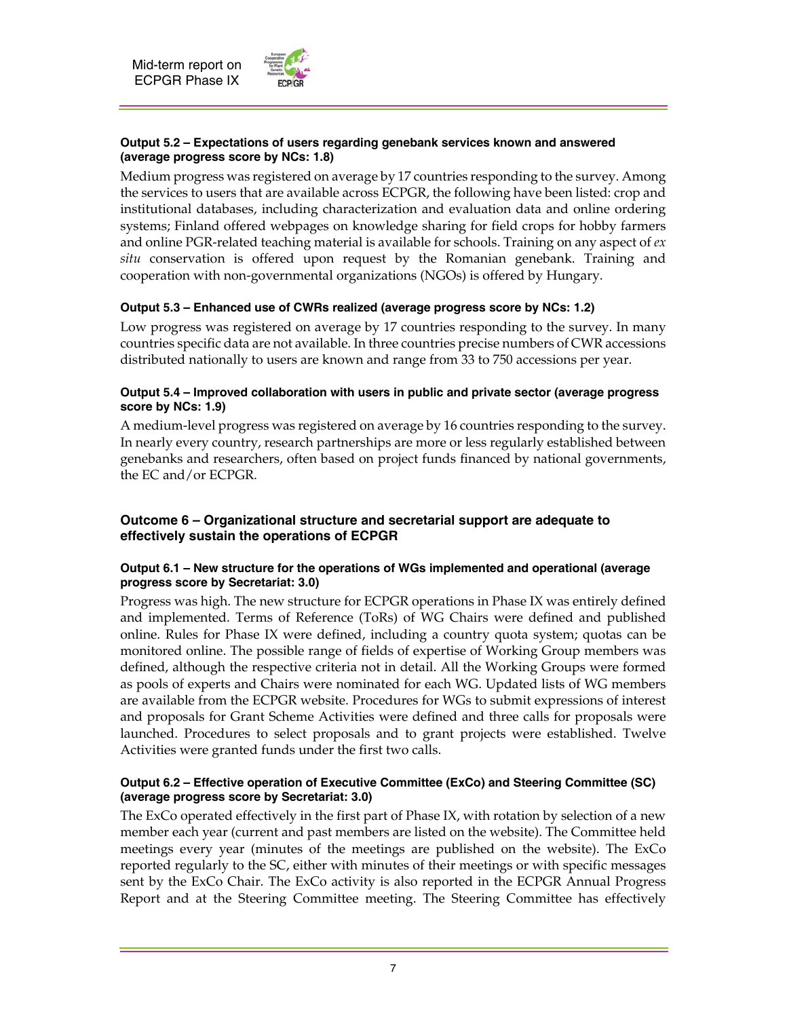

### **Output 5.2 – Expectations of users regarding genebank services known and answered (average progress score by NCs: 1.8)**

Medium progress was registered on average by 17 countries responding to the survey. Among the services to users that are available across ECPGR, the following have been listed: crop and institutional databases, including characterization and evaluation data and online ordering systems; Finland offered webpages on knowledge sharing for field crops for hobby farmers and online PGR-related teaching material is available for schools. Training on any aspect of *ex situ* conservation is offered upon request by the Romanian genebank. Training and cooperation with non-governmental organizations (NGOs) is offered by Hungary.

## **Output 5.3 – Enhanced use of CWRs realized (average progress score by NCs: 1.2)**

Low progress was registered on average by 17 countries responding to the survey. In many countries specific data are not available. In three countries precise numbers of CWR accessions distributed nationally to users are known and range from 33 to 750 accessions per year.

## **Output 5.4 – Improved collaboration with users in public and private sector (average progress score by NCs: 1.9)**

A medium-level progress was registered on average by 16 countries responding to the survey. In nearly every country, research partnerships are more or less regularly established between genebanks and researchers, often based on project funds financed by national governments, the EC and/or ECPGR.

## **Outcome 6 – Organizational structure and secretarial support are adequate to effectively sustain the operations of ECPGR**

## **Output 6.1 – New structure for the operations of WGs implemented and operational (average progress score by Secretariat: 3.0)**

Progress was high. The new structure for ECPGR operations in Phase IX was entirely defined and implemented. Terms of Reference (ToRs) of WG Chairs were defined and published online. Rules for Phase IX were defined, including a country quota system; quotas can be monitored online. The possible range of fields of expertise of Working Group members was defined, although the respective criteria not in detail. All the Working Groups were formed as pools of experts and Chairs were nominated for each WG. Updated lists of WG members are available from the ECPGR website. Procedures for WGs to submit expressions of interest and proposals for Grant Scheme Activities were defined and three calls for proposals were launched. Procedures to select proposals and to grant projects were established. Twelve Activities were granted funds under the first two calls.

## **Output 6.2 – Effective operation of Executive Committee (ExCo) and Steering Committee (SC) (average progress score by Secretariat: 3.0)**

The ExCo operated effectively in the first part of Phase IX, with rotation by selection of a new member each year (current and past members are listed on the website). The Committee held meetings every year (minutes of the meetings are published on the website). The ExCo reported regularly to the SC, either with minutes of their meetings or with specific messages sent by the ExCo Chair. The ExCo activity is also reported in the ECPGR Annual Progress Report and at the Steering Committee meeting. The Steering Committee has effectively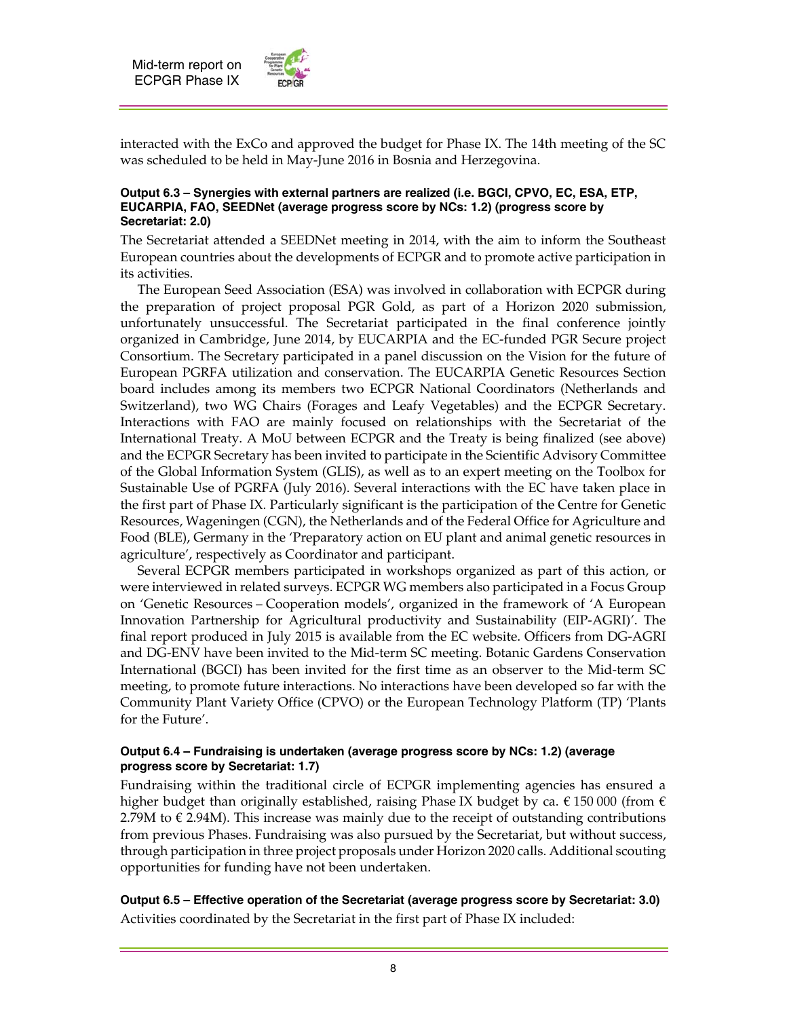

interacted with the ExCo and approved the budget for Phase IX. The 14th meeting of the SC was scheduled to be held in May-June 2016 in Bosnia and Herzegovina.

#### **Output 6.3 – Synergies with external partners are realized (i.e. BGCI, CPVO, EC, ESA, ETP, EUCARPIA, FAO, SEEDNet (average progress score by NCs: 1.2) (progress score by Secretariat: 2.0)**

The Secretariat attended a SEEDNet meeting in 2014, with the aim to inform the Southeast European countries about the developments of ECPGR and to promote active participation in its activities.

 The European Seed Association (ESA) was involved in collaboration with ECPGR during the preparation of project proposal PGR Gold, as part of a Horizon 2020 submission, unfortunately unsuccessful. The Secretariat participated in the final conference jointly organized in Cambridge, June 2014, by EUCARPIA and the EC-funded PGR Secure project Consortium. The Secretary participated in a panel discussion on the Vision for the future of European PGRFA utilization and conservation. The EUCARPIA Genetic Resources Section board includes among its members two ECPGR National Coordinators (Netherlands and Switzerland), two WG Chairs (Forages and Leafy Vegetables) and the ECPGR Secretary. Interactions with FAO are mainly focused on relationships with the Secretariat of the International Treaty. A MoU between ECPGR and the Treaty is being finalized (see above) and the ECPGR Secretary has been invited to participate in the Scientific Advisory Committee of the Global Information System (GLIS), as well as to an expert meeting on the Toolbox for Sustainable Use of PGRFA (July 2016). Several interactions with the EC have taken place in the first part of Phase IX. Particularly significant is the participation of the Centre for Genetic Resources, Wageningen (CGN), the Netherlands and of the Federal Office for Agriculture and Food (BLE), Germany in the 'Preparatory action on EU plant and animal genetic resources in agriculture', respectively as Coordinator and participant.

 Several ECPGR members participated in workshops organized as part of this action, or were interviewed in related surveys. ECPGR WG members also participated in a Focus Group on 'Genetic Resources – Cooperation models', organized in the framework of 'A European Innovation Partnership for Agricultural productivity and Sustainability (EIP-AGRI)'. The final report produced in July 2015 is available from the EC website. Officers from DG-AGRI and DG-ENV have been invited to the Mid-term SC meeting. Botanic Gardens Conservation International (BGCI) has been invited for the first time as an observer to the Mid-term SC meeting, to promote future interactions. No interactions have been developed so far with the Community Plant Variety Office (CPVO) or the European Technology Platform (TP) 'Plants for the Future'.

#### **Output 6.4 – Fundraising is undertaken (average progress score by NCs: 1.2) (average progress score by Secretariat: 1.7)**

Fundraising within the traditional circle of ECPGR implementing agencies has ensured a higher budget than originally established, raising Phase IX budget by ca.  $\epsilon$  150 000 (from  $\epsilon$ 2.79M to  $\epsilon$  2.94M). This increase was mainly due to the receipt of outstanding contributions from previous Phases. Fundraising was also pursued by the Secretariat, but without success, through participation in three project proposals under Horizon 2020 calls. Additional scouting opportunities for funding have not been undertaken.

**Output 6.5 – Effective operation of the Secretariat (average progress score by Secretariat: 3.0)**  Activities coordinated by the Secretariat in the first part of Phase IX included: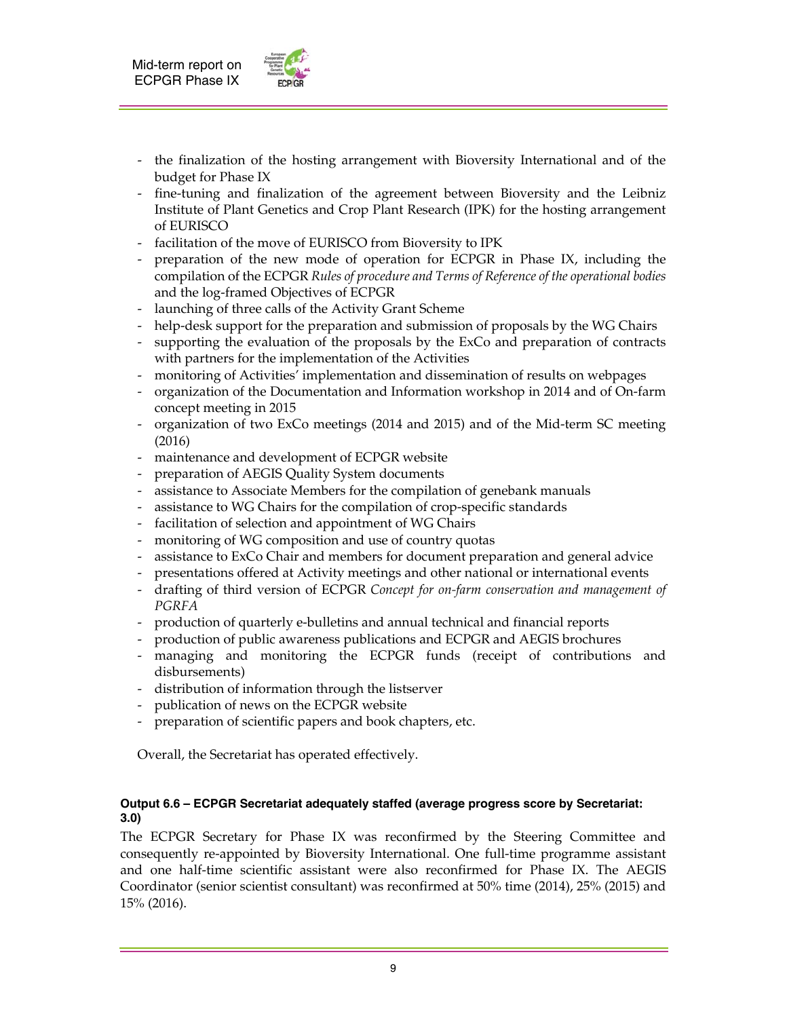

- the finalization of the hosting arrangement with Bioversity International and of the budget for Phase IX
- fine-tuning and finalization of the agreement between Bioversity and the Leibniz Institute of Plant Genetics and Crop Plant Research (IPK) for the hosting arrangement of EURISCO
- facilitation of the move of EURISCO from Bioversity to IPK
- preparation of the new mode of operation for ECPGR in Phase IX, including the compilation of the ECPGR *Rules of procedure and Terms of Reference of the operational bodies* and the log-framed Objectives of ECPGR
- launching of three calls of the Activity Grant Scheme
- help-desk support for the preparation and submission of proposals by the WG Chairs
- supporting the evaluation of the proposals by the ExCo and preparation of contracts with partners for the implementation of the Activities
- monitoring of Activities' implementation and dissemination of results on webpages
- organization of the Documentation and Information workshop in 2014 and of On-farm concept meeting in 2015
- organization of two ExCo meetings (2014 and 2015) and of the Mid-term SC meeting (2016)
- maintenance and development of ECPGR website
- preparation of AEGIS Quality System documents
- assistance to Associate Members for the compilation of genebank manuals
- assistance to WG Chairs for the compilation of crop-specific standards
- facilitation of selection and appointment of WG Chairs
- monitoring of WG composition and use of country quotas
- assistance to ExCo Chair and members for document preparation and general advice
- presentations offered at Activity meetings and other national or international events
- drafting of third version of ECPGR *Concept for on-farm conservation and management of PGRFA*
- production of quarterly e-bulletins and annual technical and financial reports
- production of public awareness publications and ECPGR and AEGIS brochures
- managing and monitoring the ECPGR funds (receipt of contributions and disbursements)
- distribution of information through the listserver
- publication of news on the ECPGR website
- preparation of scientific papers and book chapters, etc.

Overall, the Secretariat has operated effectively.

#### **Output 6.6 – ECPGR Secretariat adequately staffed (average progress score by Secretariat: 3.0)**

The ECPGR Secretary for Phase IX was reconfirmed by the Steering Committee and consequently re-appointed by Bioversity International. One full-time programme assistant and one half-time scientific assistant were also reconfirmed for Phase IX. The AEGIS Coordinator (senior scientist consultant) was reconfirmed at 50% time (2014), 25% (2015) and 15% (2016).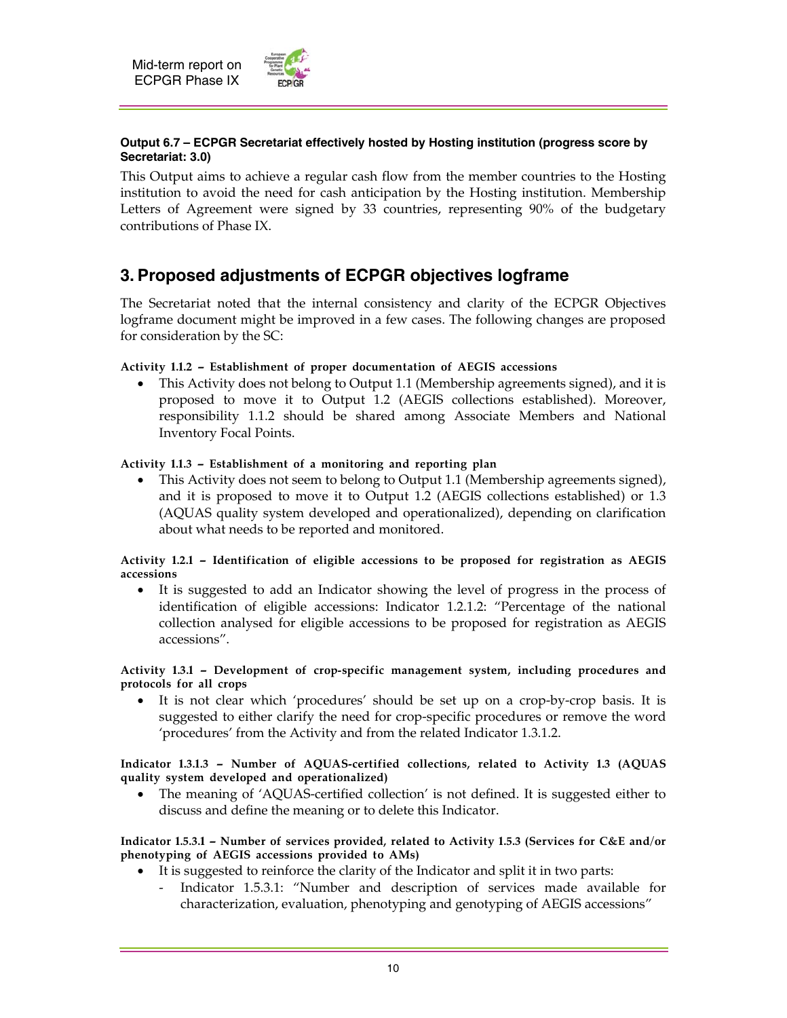

## **Output 6.7 – ECPGR Secretariat effectively hosted by Hosting institution (progress score by Secretariat: 3.0)**

This Output aims to achieve a regular cash flow from the member countries to the Hosting institution to avoid the need for cash anticipation by the Hosting institution. Membership Letters of Agreement were signed by 33 countries, representing 90% of the budgetary contributions of Phase IX.

## **3. Proposed adjustments of ECPGR objectives logframe**

The Secretariat noted that the internal consistency and clarity of the ECPGR Objectives logframe document might be improved in a few cases. The following changes are proposed for consideration by the SC:

## **Activity 1.1.2 — Establishment of proper documentation of AEGIS accessions**

 This Activity does not belong to Output 1.1 (Membership agreements signed), and it is proposed to move it to Output 1.2 (AEGIS collections established). Moreover, responsibility 1.1.2 should be shared among Associate Members and National Inventory Focal Points.

## **Activity 1.1.3 — Establishment of a monitoring and reporting plan**

 This Activity does not seem to belong to Output 1.1 (Membership agreements signed), and it is proposed to move it to Output 1.2 (AEGIS collections established) or 1.3 (AQUAS quality system developed and operationalized), depending on clarification about what needs to be reported and monitored.

#### **Activity 1.2.1 — Identification of eligible accessions to be proposed for registration as AEGIS accessions**

 It is suggested to add an Indicator showing the level of progress in the process of identification of eligible accessions: Indicator 1.2.1.2: "Percentage of the national collection analysed for eligible accessions to be proposed for registration as AEGIS accessions".

#### **Activity 1.3.1 — Development of crop-specific management system, including procedures and protocols for all crops**

 It is not clear which 'procedures' should be set up on a crop-by-crop basis. It is suggested to either clarify the need for crop-specific procedures or remove the word 'procedures' from the Activity and from the related Indicator 1.3.1.2.

#### **Indicator 1.3.1.3 — Number of AQUAS-certified collections, related to Activity 1.3 (AQUAS quality system developed and operationalized)**

• The meaning of 'AQUAS-certified collection' is not defined. It is suggested either to discuss and define the meaning or to delete this Indicator.

#### **Indicator 1.5.3.1 — Number of services provided, related to Activity 1.5.3 (Services for C&E and/or phenotyping of AEGIS accessions provided to AMs)**

- It is suggested to reinforce the clarity of the Indicator and split it in two parts:
	- Indicator 1.5.3.1: "Number and description of services made available for characterization, evaluation, phenotyping and genotyping of AEGIS accessions"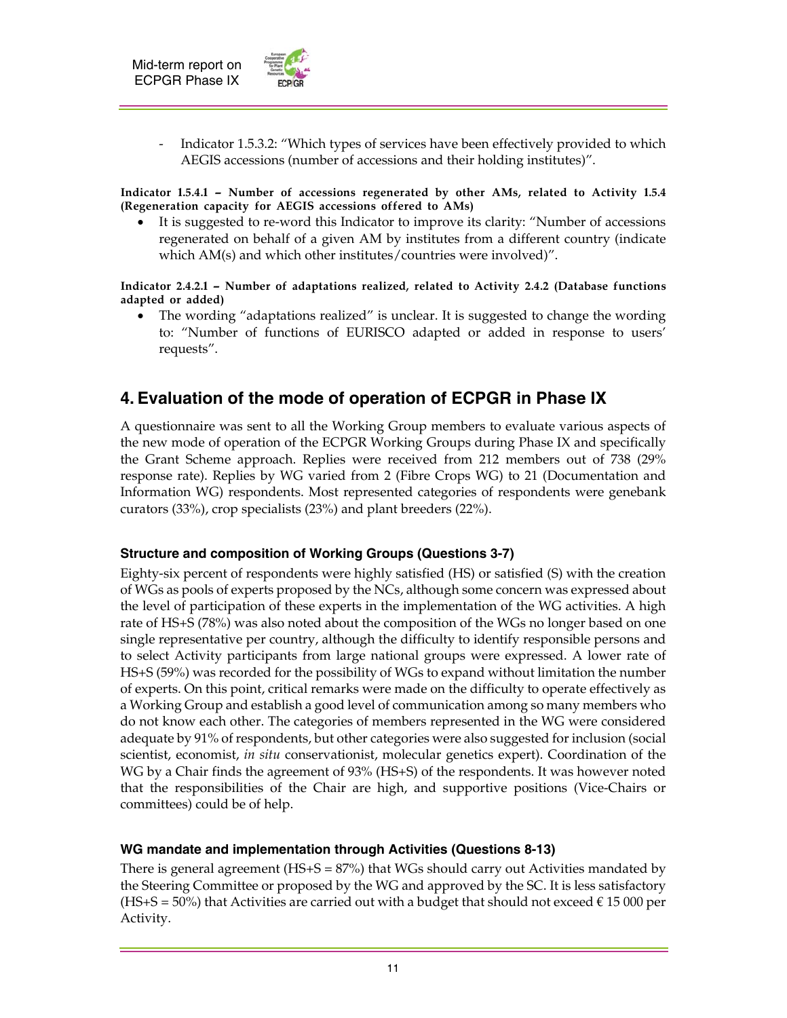

Indicator 1.5.3.2: "Which types of services have been effectively provided to which AEGIS accessions (number of accessions and their holding institutes)".

**Indicator 1.5.4.1 — Number of accessions regenerated by other AMs, related to Activity 1.5.4 (Regeneration capacity for AEGIS accessions offered to AMs)** 

 It is suggested to re-word this Indicator to improve its clarity: "Number of accessions regenerated on behalf of a given AM by institutes from a different country (indicate which AM(s) and which other institutes/countries were involved)".

**Indicator 2.4.2.1 — Number of adaptations realized, related to Activity 2.4.2 (Database functions adapted or added)** 

• The wording "adaptations realized" is unclear. It is suggested to change the wording to: "Number of functions of EURISCO adapted or added in response to users' requests".

## **4. Evaluation of the mode of operation of ECPGR in Phase IX**

A questionnaire was sent to all the Working Group members to evaluate various aspects of the new mode of operation of the ECPGR Working Groups during Phase IX and specifically the Grant Scheme approach. Replies were received from 212 members out of 738 (29% response rate). Replies by WG varied from 2 (Fibre Crops WG) to 21 (Documentation and Information WG) respondents. Most represented categories of respondents were genebank curators (33%), crop specialists (23%) and plant breeders (22%).

## **Structure and composition of Working Groups (Questions 3-7)**

Eighty-six percent of respondents were highly satisfied (HS) or satisfied (S) with the creation of WGs as pools of experts proposed by the NCs, although some concern was expressed about the level of participation of these experts in the implementation of the WG activities. A high rate of HS+S (78%) was also noted about the composition of the WGs no longer based on one single representative per country, although the difficulty to identify responsible persons and to select Activity participants from large national groups were expressed. A lower rate of HS+S (59%) was recorded for the possibility of WGs to expand without limitation the number of experts. On this point, critical remarks were made on the difficulty to operate effectively as a Working Group and establish a good level of communication among so many members who do not know each other. The categories of members represented in the WG were considered adequate by 91% of respondents, but other categories were also suggested for inclusion (social scientist, economist, *in situ* conservationist, molecular genetics expert). Coordination of the WG by a Chair finds the agreement of 93% (HS+S) of the respondents. It was however noted that the responsibilities of the Chair are high, and supportive positions (Vice-Chairs or committees) could be of help.

## **WG mandate and implementation through Activities (Questions 8-13)**

There is general agreement ( $HS + S = 87\%)$  that WGs should carry out Activities mandated by the Steering Committee or proposed by the WG and approved by the SC. It is less satisfactory  $(HS+S = 50%)$  that Activities are carried out with a budget that should not exceed  $\epsilon$  15 000 per Activity.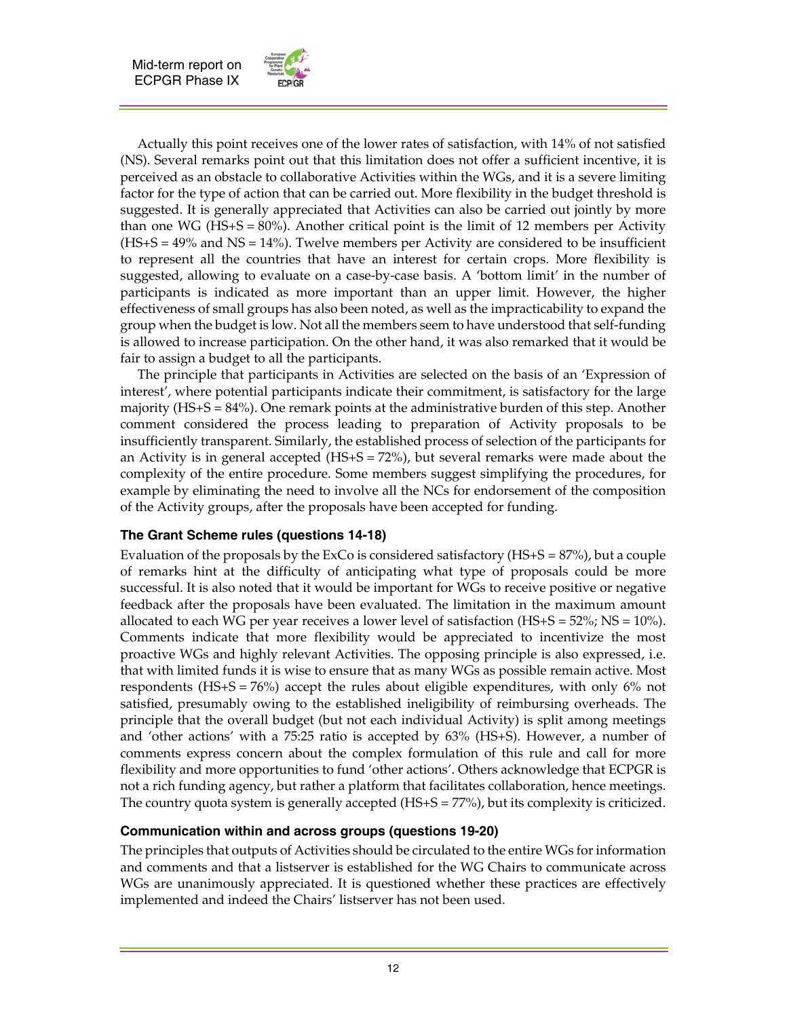

 Actually this point receives one of the lower rates of satisfaction, with 14% of not satisfied (NS). Several remarks point out that this limitation does not offer a sufficient incentive, it is perceived as an obstacle to collaborative Activities within the WGs, and it is a severe limiting factor for the type of action that can be carried out. More flexibility in the budget threshold is suggested. It is generally appreciated that Activities can also be carried out jointly by more than one WG ( $HS + S = 80\%$ ). Another critical point is the limit of 12 members per Activity (HS+S = 49% and NS = 14%). Twelve members per Activity are considered to be insufficient to represent all the countries that have an interest for certain crops. More flexibility is suggested, allowing to evaluate on a case-by-case basis. A 'bottom limit' in the number of participants is indicated as more important than an upper limit. However, the higher effectiveness of small groups has also been noted, as well as the impracticability to expand the group when the budget is low. Not all the members seem to have understood that self-funding is allowed to increase participation. On the other hand, it was also remarked that it would be fair to assign a budget to all the participants.

 The principle that participants in Activities are selected on the basis of an 'Expression of interest', where potential participants indicate their commitment, is satisfactory for the large majority (HS+S = 84%). One remark points at the administrative burden of this step. Another comment considered the process leading to preparation of Activity proposals to be insufficiently transparent. Similarly, the established process of selection of the participants for an Activity is in general accepted  $(HS+S = 72%)$ , but several remarks were made about the complexity of the entire procedure. Some members suggest simplifying the procedures, for example by eliminating the need to involve all the NCs for endorsement of the composition of the Activity groups, after the proposals have been accepted for funding.

## **The Grant Scheme rules (questions 14-18)**

Evaluation of the proposals by the ExCo is considered satisfactory  $(HS+S = 87%)$ , but a couple of remarks hint at the difficulty of anticipating what type of proposals could be more successful. It is also noted that it would be important for WGs to receive positive or negative feedback after the proposals have been evaluated. The limitation in the maximum amount allocated to each WG per year receives a lower level of satisfaction  $(HS+S = 52\%; NS = 10\%).$ Comments indicate that more flexibility would be appreciated to incentivize the most proactive WGs and highly relevant Activities. The opposing principle is also expressed, i.e. that with limited funds it is wise to ensure that as many WGs as possible remain active. Most respondents (HS+S =  $76\%$ ) accept the rules about eligible expenditures, with only  $6\%$  not satisfied, presumably owing to the established ineligibility of reimbursing overheads. The principle that the overall budget (but not each individual Activity) is split among meetings and 'other actions' with a 75:25 ratio is accepted by 63% (HS+S). However, a number of comments express concern about the complex formulation of this rule and call for more flexibility and more opportunities to fund 'other actions'. Others acknowledge that ECPGR is not a rich funding agency, but rather a platform that facilitates collaboration, hence meetings. The country quota system is generally accepted (HS+S = 77%), but its complexity is criticized.

## **Communication within and across groups (questions 19-20)**

The principles that outputs of Activities should be circulated to the entire WGs for information and comments and that a listserver is established for the WG Chairs to communicate across WGs are unanimously appreciated. It is questioned whether these practices are effectively implemented and indeed the Chairs' listserver has not been used.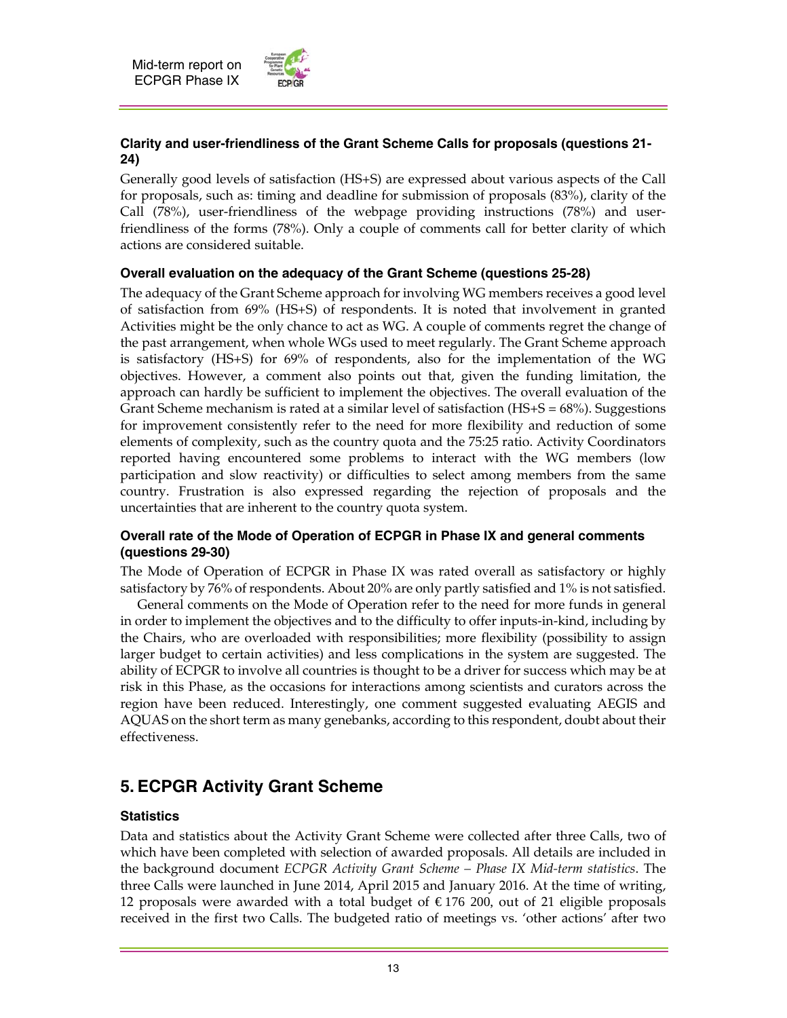

## **Clarity and user-friendliness of the Grant Scheme Calls for proposals (questions 21- 24)**

Generally good levels of satisfaction (HS+S) are expressed about various aspects of the Call for proposals, such as: timing and deadline for submission of proposals (83%), clarity of the Call (78%), user-friendliness of the webpage providing instructions (78%) and userfriendliness of the forms (78%). Only a couple of comments call for better clarity of which actions are considered suitable.

## **Overall evaluation on the adequacy of the Grant Scheme (questions 25-28)**

The adequacy of the Grant Scheme approach for involving WG members receives a good level of satisfaction from 69% (HS+S) of respondents. It is noted that involvement in granted Activities might be the only chance to act as WG. A couple of comments regret the change of the past arrangement, when whole WGs used to meet regularly. The Grant Scheme approach is satisfactory (HS+S) for 69% of respondents, also for the implementation of the WG objectives. However, a comment also points out that, given the funding limitation, the approach can hardly be sufficient to implement the objectives. The overall evaluation of the Grant Scheme mechanism is rated at a similar level of satisfaction (HS+S = 68%). Suggestions for improvement consistently refer to the need for more flexibility and reduction of some elements of complexity, such as the country quota and the 75:25 ratio. Activity Coordinators reported having encountered some problems to interact with the WG members (low participation and slow reactivity) or difficulties to select among members from the same country. Frustration is also expressed regarding the rejection of proposals and the uncertainties that are inherent to the country quota system.

## **Overall rate of the Mode of Operation of ECPGR in Phase IX and general comments (questions 29-30)**

The Mode of Operation of ECPGR in Phase IX was rated overall as satisfactory or highly satisfactory by 76% of respondents. About 20% are only partly satisfied and 1% is not satisfied.

 General comments on the Mode of Operation refer to the need for more funds in general in order to implement the objectives and to the difficulty to offer inputs-in-kind, including by the Chairs, who are overloaded with responsibilities; more flexibility (possibility to assign larger budget to certain activities) and less complications in the system are suggested. The ability of ECPGR to involve all countries is thought to be a driver for success which may be at risk in this Phase, as the occasions for interactions among scientists and curators across the region have been reduced. Interestingly, one comment suggested evaluating AEGIS and AQUAS on the short term as many genebanks, according to this respondent, doubt about their effectiveness.

## **5. ECPGR Activity Grant Scheme**

## **Statistics**

Data and statistics about the Activity Grant Scheme were collected after three Calls, two of which have been completed with selection of awarded proposals. All details are included in the background document *ECPGR Activity Grant Scheme – Phase IX Mid-term statistics*. The three Calls were launched in June 2014, April 2015 and January 2016. At the time of writing, 12 proposals were awarded with a total budget of € 176 200, out of 21 eligible proposals received in the first two Calls. The budgeted ratio of meetings vs. 'other actions' after two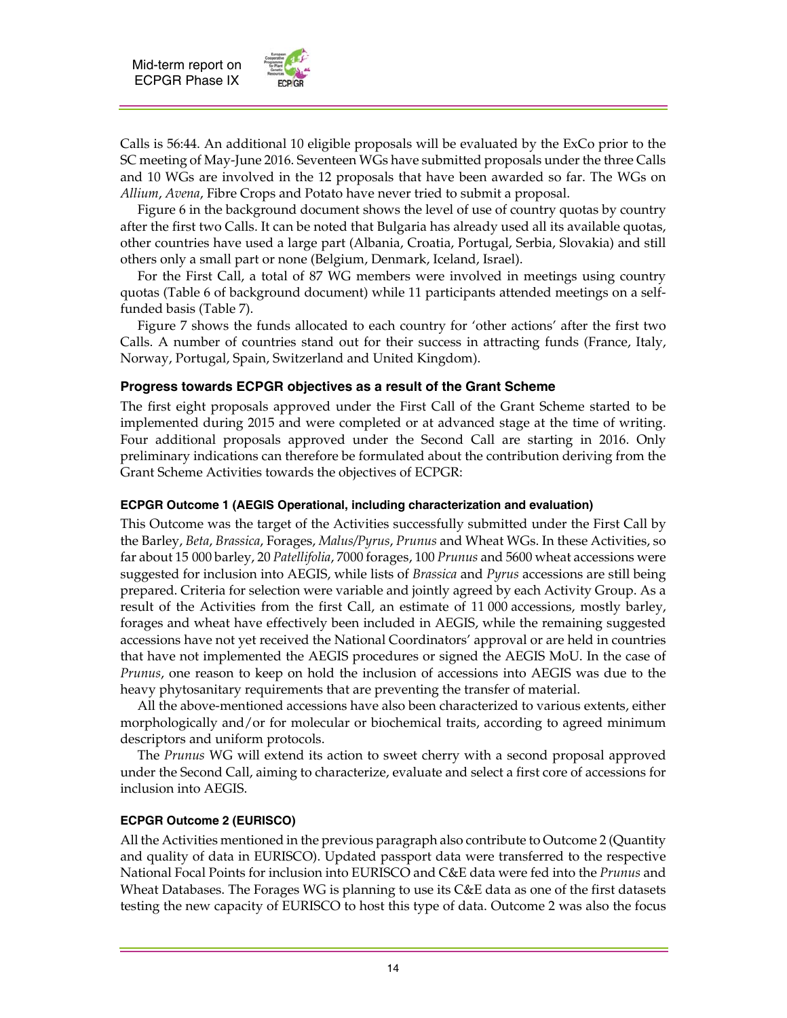

Calls is 56:44. An additional 10 eligible proposals will be evaluated by the ExCo prior to the SC meeting of May-June 2016. Seventeen WGs have submitted proposals under the three Calls and 10 WGs are involved in the 12 proposals that have been awarded so far. The WGs on *Allium*, *Avena*, Fibre Crops and Potato have never tried to submit a proposal.

 Figure 6 in the background document shows the level of use of country quotas by country after the first two Calls. It can be noted that Bulgaria has already used all its available quotas, other countries have used a large part (Albania, Croatia, Portugal, Serbia, Slovakia) and still others only a small part or none (Belgium, Denmark, Iceland, Israel).

 For the First Call, a total of 87 WG members were involved in meetings using country quotas (Table 6 of background document) while 11 participants attended meetings on a selffunded basis (Table 7).

 Figure 7 shows the funds allocated to each country for 'other actions' after the first two Calls. A number of countries stand out for their success in attracting funds (France, Italy, Norway, Portugal, Spain, Switzerland and United Kingdom).

## **Progress towards ECPGR objectives as a result of the Grant Scheme**

The first eight proposals approved under the First Call of the Grant Scheme started to be implemented during 2015 and were completed or at advanced stage at the time of writing. Four additional proposals approved under the Second Call are starting in 2016. Only preliminary indications can therefore be formulated about the contribution deriving from the Grant Scheme Activities towards the objectives of ECPGR:

## **ECPGR Outcome 1 (AEGIS Operational, including characterization and evaluation)**

This Outcome was the target of the Activities successfully submitted under the First Call by the Barley, *Beta*, *Brassica*, Forages, *Malus/Pyrus*, *Prunus* and Wheat WGs. In these Activities, so far about 15 000 barley, 20 *Patellifolia*, 7000 forages, 100 *Prunus* and 5600 wheat accessions were suggested for inclusion into AEGIS, while lists of *Brassica* and *Pyrus* accessions are still being prepared. Criteria for selection were variable and jointly agreed by each Activity Group. As a result of the Activities from the first Call, an estimate of 11 000 accessions, mostly barley, forages and wheat have effectively been included in AEGIS, while the remaining suggested accessions have not yet received the National Coordinators' approval or are held in countries that have not implemented the AEGIS procedures or signed the AEGIS MoU. In the case of *Prunus*, one reason to keep on hold the inclusion of accessions into AEGIS was due to the heavy phytosanitary requirements that are preventing the transfer of material.

 All the above-mentioned accessions have also been characterized to various extents, either morphologically and/or for molecular or biochemical traits, according to agreed minimum descriptors and uniform protocols.

 The *Prunus* WG will extend its action to sweet cherry with a second proposal approved under the Second Call, aiming to characterize, evaluate and select a first core of accessions for inclusion into AEGIS.

## **ECPGR Outcome 2 (EURISCO)**

All the Activities mentioned in the previous paragraph also contribute to Outcome 2 (Quantity and quality of data in EURISCO). Updated passport data were transferred to the respective National Focal Points for inclusion into EURISCO and C&E data were fed into the *Prunus* and Wheat Databases. The Forages WG is planning to use its C&E data as one of the first datasets testing the new capacity of EURISCO to host this type of data. Outcome 2 was also the focus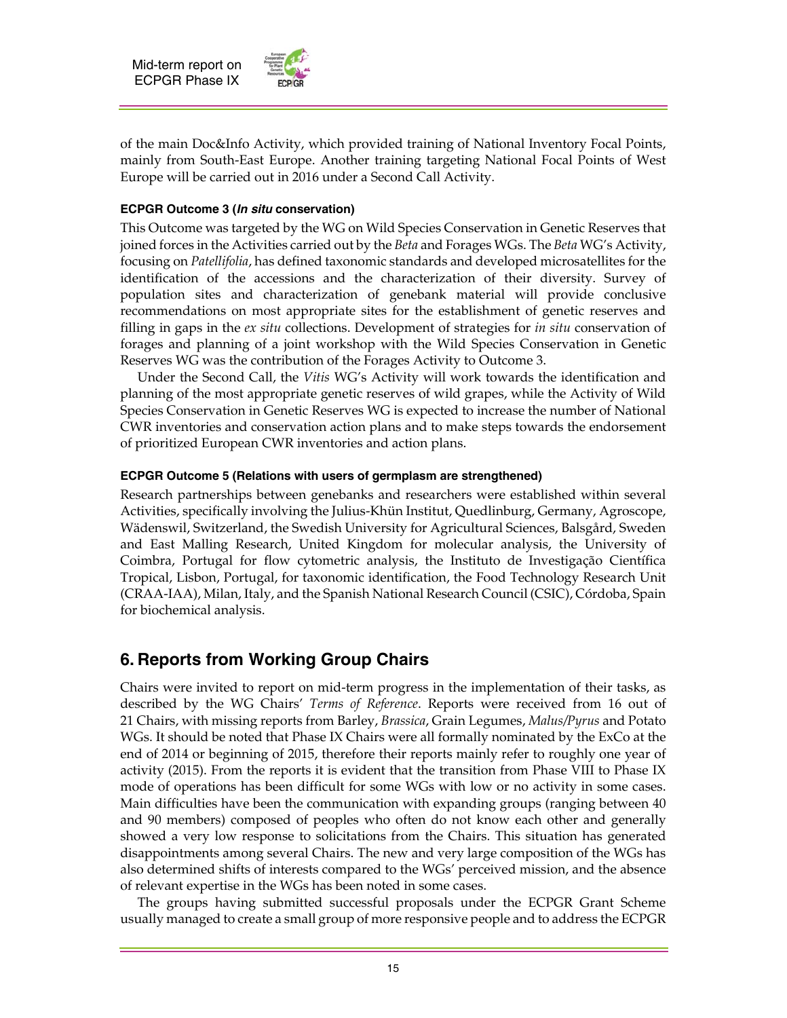

of the main Doc&Info Activity, which provided training of National Inventory Focal Points, mainly from South-East Europe. Another training targeting National Focal Points of West Europe will be carried out in 2016 under a Second Call Activity.

## **ECPGR Outcome 3 (***In situ* **conservation)**

This Outcome was targeted by the WG on Wild Species Conservation in Genetic Reserves that joined forces in the Activities carried out by the *Beta* and Forages WGs. The *Beta* WG's Activity, focusing on *Patellifolia*, has defined taxonomic standards and developed microsatellites for the identification of the accessions and the characterization of their diversity. Survey of population sites and characterization of genebank material will provide conclusive recommendations on most appropriate sites for the establishment of genetic reserves and filling in gaps in the *ex situ* collections. Development of strategies for *in situ* conservation of forages and planning of a joint workshop with the Wild Species Conservation in Genetic Reserves WG was the contribution of the Forages Activity to Outcome 3.

 Under the Second Call, the *Vitis* WG's Activity will work towards the identification and planning of the most appropriate genetic reserves of wild grapes, while the Activity of Wild Species Conservation in Genetic Reserves WG is expected to increase the number of National CWR inventories and conservation action plans and to make steps towards the endorsement of prioritized European CWR inventories and action plans.

#### **ECPGR Outcome 5 (Relations with users of germplasm are strengthened)**

Research partnerships between genebanks and researchers were established within several Activities, specifically involving the Julius-Khün Institut, Quedlinburg, Germany, Agroscope, Wädenswil, Switzerland, the Swedish University for Agricultural Sciences, Balsgård, Sweden and East Malling Research, United Kingdom for molecular analysis, the University of Coimbra, Portugal for flow cytometric analysis, the Instituto de Investigação Científica Tropical, Lisbon, Portugal, for taxonomic identification, the Food Technology Research Unit (CRAA-IAA), Milan, Italy, and the Spanish National Research Council (CSIC), Córdoba, Spain for biochemical analysis.

## **6. Reports from Working Group Chairs**

Chairs were invited to report on mid-term progress in the implementation of their tasks, as described by the WG Chairs' *Terms of Reference*. Reports were received from 16 out of 21 Chairs, with missing reports from Barley, *Brassica*, Grain Legumes, *Malus/Pyrus* and Potato WGs. It should be noted that Phase IX Chairs were all formally nominated by the ExCo at the end of 2014 or beginning of 2015, therefore their reports mainly refer to roughly one year of activity (2015). From the reports it is evident that the transition from Phase VIII to Phase IX mode of operations has been difficult for some WGs with low or no activity in some cases. Main difficulties have been the communication with expanding groups (ranging between 40 and 90 members) composed of peoples who often do not know each other and generally showed a very low response to solicitations from the Chairs. This situation has generated disappointments among several Chairs. The new and very large composition of the WGs has also determined shifts of interests compared to the WGs' perceived mission, and the absence of relevant expertise in the WGs has been noted in some cases.

 The groups having submitted successful proposals under the ECPGR Grant Scheme usually managed to create a small group of more responsive people and to address the ECPGR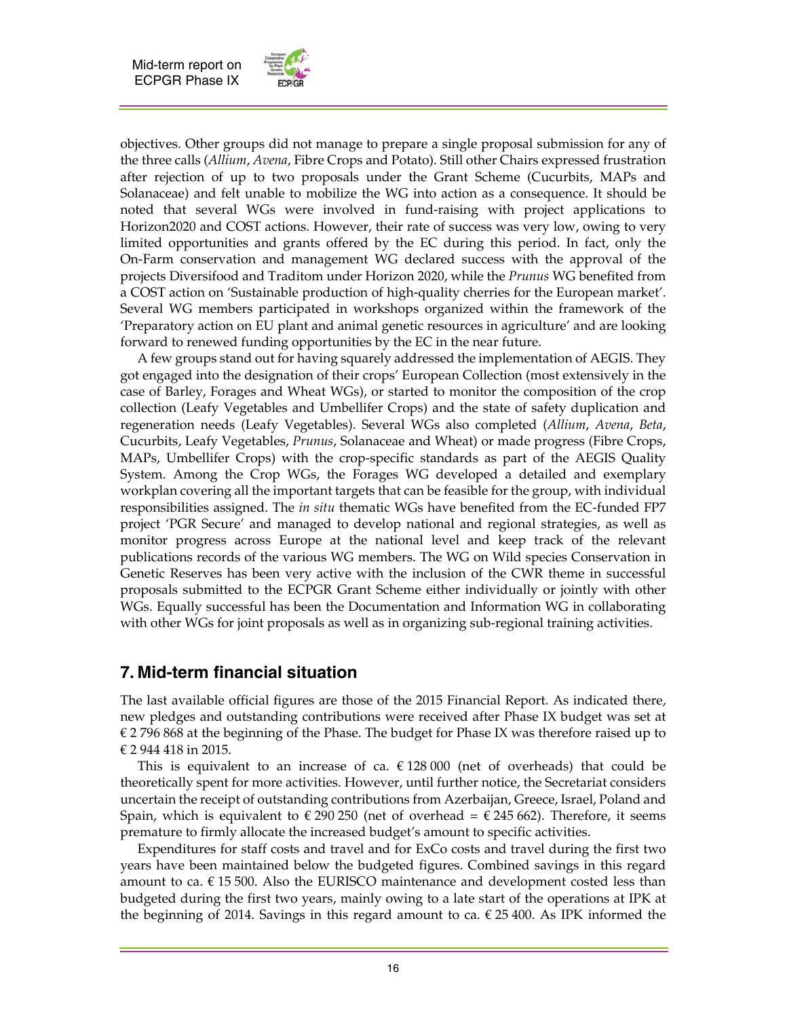

objectives. Other groups did not manage to prepare a single proposal submission for any of the three calls (*Allium*, *Avena*, Fibre Crops and Potato). Still other Chairs expressed frustration after rejection of up to two proposals under the Grant Scheme (Cucurbits, MAPs and Solanaceae) and felt unable to mobilize the WG into action as a consequence. It should be noted that several WGs were involved in fund-raising with project applications to Horizon2020 and COST actions. However, their rate of success was very low, owing to very limited opportunities and grants offered by the EC during this period. In fact, only the On-Farm conservation and management WG declared success with the approval of the projects Diversifood and Traditom under Horizon 2020, while the *Prunus* WG benefited from a COST action on 'Sustainable production of high-quality cherries for the European market'. Several WG members participated in workshops organized within the framework of the 'Preparatory action on EU plant and animal genetic resources in agriculture' and are looking forward to renewed funding opportunities by the EC in the near future.

 A few groups stand out for having squarely addressed the implementation of AEGIS. They got engaged into the designation of their crops' European Collection (most extensively in the case of Barley, Forages and Wheat WGs), or started to monitor the composition of the crop collection (Leafy Vegetables and Umbellifer Crops) and the state of safety duplication and regeneration needs (Leafy Vegetables). Several WGs also completed (*Allium*, *Avena*, *Beta*, Cucurbits, Leafy Vegetables, *Prunus*, Solanaceae and Wheat) or made progress (Fibre Crops, MAPs, Umbellifer Crops) with the crop-specific standards as part of the AEGIS Quality System. Among the Crop WGs, the Forages WG developed a detailed and exemplary workplan covering all the important targets that can be feasible for the group, with individual responsibilities assigned. The *in situ* thematic WGs have benefited from the EC-funded FP7 project 'PGR Secure' and managed to develop national and regional strategies, as well as monitor progress across Europe at the national level and keep track of the relevant publications records of the various WG members. The WG on Wild species Conservation in Genetic Reserves has been very active with the inclusion of the CWR theme in successful proposals submitted to the ECPGR Grant Scheme either individually or jointly with other WGs. Equally successful has been the Documentation and Information WG in collaborating with other WGs for joint proposals as well as in organizing sub-regional training activities.

## **7. Mid-term financial situation**

The last available official figures are those of the 2015 Financial Report. As indicated there, new pledges and outstanding contributions were received after Phase IX budget was set at  $E$  2796 868 at the beginning of the Phase. The budget for Phase IX was therefore raised up to € 2 944 418 in 2015.

This is equivalent to an increase of ca.  $\epsilon$  128 000 (net of overheads) that could be theoretically spent for more activities. However, until further notice, the Secretariat considers uncertain the receipt of outstanding contributions from Azerbaijan, Greece, Israel, Poland and Spain, which is equivalent to  $\epsilon$  290 250 (net of overhead =  $\epsilon$  245 662). Therefore, it seems premature to firmly allocate the increased budget's amount to specific activities.

 Expenditures for staff costs and travel and for ExCo costs and travel during the first two years have been maintained below the budgeted figures. Combined savings in this regard amount to ca.  $\epsilon$  15 500. Also the EURISCO maintenance and development costed less than budgeted during the first two years, mainly owing to a late start of the operations at IPK at the beginning of 2014. Savings in this regard amount to ca.  $\epsilon$  25 400. As IPK informed the